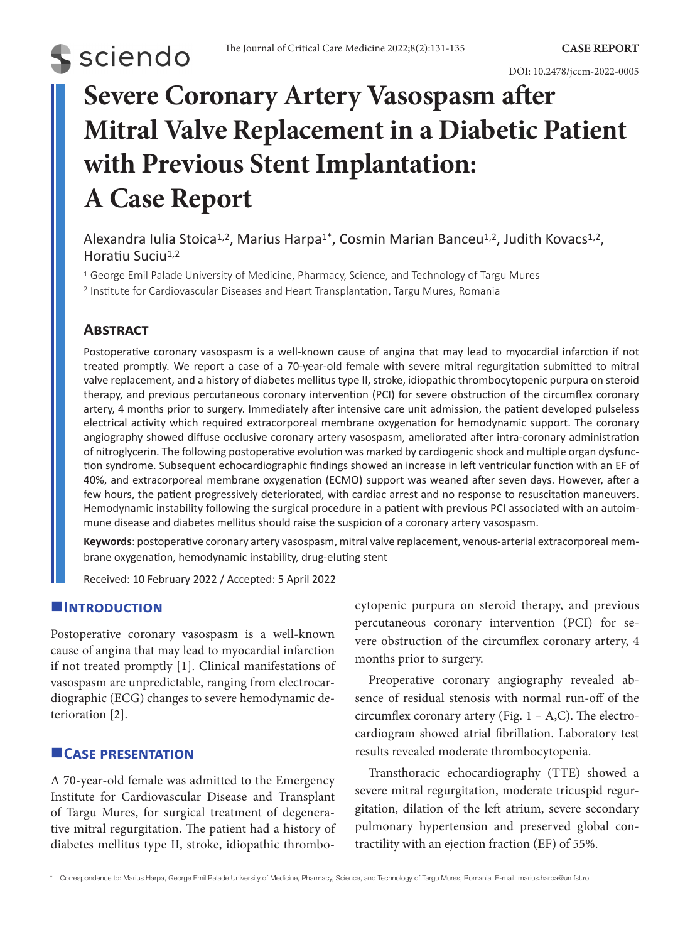

DOI: 10.2478/jccm-2022-0005

# **Severe Coronary Artery Vasospasm after Mitral Valve Replacement in a Diabetic Patient with Previous Stent Implantation: A Case Report**

Alexandra Iulia Stoica<sup>1,2</sup>, Marius Harpa<sup>1\*</sup>, Cosmin Marian Banceu<sup>1,2</sup>, Judith Kovacs<sup>1,2</sup>, Horatiu Suciu<sup>1,2</sup>

<sup>1</sup> George Emil Palade University of Medicine, Pharmacy, Science, and Technology of Targu Mures <sup>2</sup> Institute for Cardiovascular Diseases and Heart Transplantation, Targu Mures, Romania

# **Abstract**

Postoperative coronary vasospasm is a well-known cause of angina that may lead to myocardial infarction if not treated promptly. We report a case of a 70-year-old female with severe mitral regurgitation submitted to mitral valve replacement, and a history of diabetes mellitus type II, stroke, idiopathic thrombocytopenic purpura on steroid therapy, and previous percutaneous coronary intervention (PCI) for severe obstruction of the circumflex coronary artery, 4 months prior to surgery. Immediately after intensive care unit admission, the patient developed pulseless electrical activity which required extracorporeal membrane oxygenation for hemodynamic support. The coronary angiography showed diffuse occlusive coronary artery vasospasm, ameliorated after intra-coronary administration of nitroglycerin. The following postoperative evolution was marked by cardiogenic shock and multiple organ dysfunction syndrome. Subsequent echocardiographic findings showed an increase in left ventricular function with an EF of 40%, and extracorporeal membrane oxygenation (ECMO) support was weaned after seven days. However, after a few hours, the patient progressively deteriorated, with cardiac arrest and no response to resuscitation maneuvers. Hemodynamic instability following the surgical procedure in a patient with previous PCI associated with an autoimmune disease and diabetes mellitus should raise the suspicion of a coronary artery vasospasm.

**Keywords**: postoperative coronary artery vasospasm, mitral valve replacement, venous-arterial extracorporeal membrane oxygenation, hemodynamic instability, drug-eluting stent

Received: 10 February 2022 / Accepted: 5 April 2022

# **Introduction**

Postoperative coronary vasospasm is a well-known cause of angina that may lead to myocardial infarction if not treated promptly [1]. Clinical manifestations of vasospasm are unpredictable, ranging from electrocardiographic (ECG) changes to severe hemodynamic deterioration [2].

# **Case presentation**

A 70-year-old female was admitted to the Emergency Institute for Cardiovascular Disease and Transplant of Targu Mures, for surgical treatment of degenerative mitral regurgitation. The patient had a history of diabetes mellitus type II, stroke, idiopathic thrombocytopenic purpura on steroid therapy, and previous percutaneous coronary intervention (PCI) for severe obstruction of the circumflex coronary artery, 4 months prior to surgery.

Preoperative coronary angiography revealed absence of residual stenosis with normal run-off of the circumflex coronary artery (Fig.  $1 - A$ ,C). The electrocardiogram showed atrial fibrillation. Laboratory test results revealed moderate thrombocytopenia.

Transthoracic echocardiography (TTE) showed a severe mitral regurgitation, moderate tricuspid regurgitation, dilation of the left atrium, severe secondary pulmonary hypertension and preserved global contractility with an ejection fraction (EF) of 55%.

\* Correspondence to: Marius Harpa, George Emil Palade University of Medicine, Pharmacy, Science, and Technology of Targu Mures, Romania E-mail: marius.harpa@umfst.ro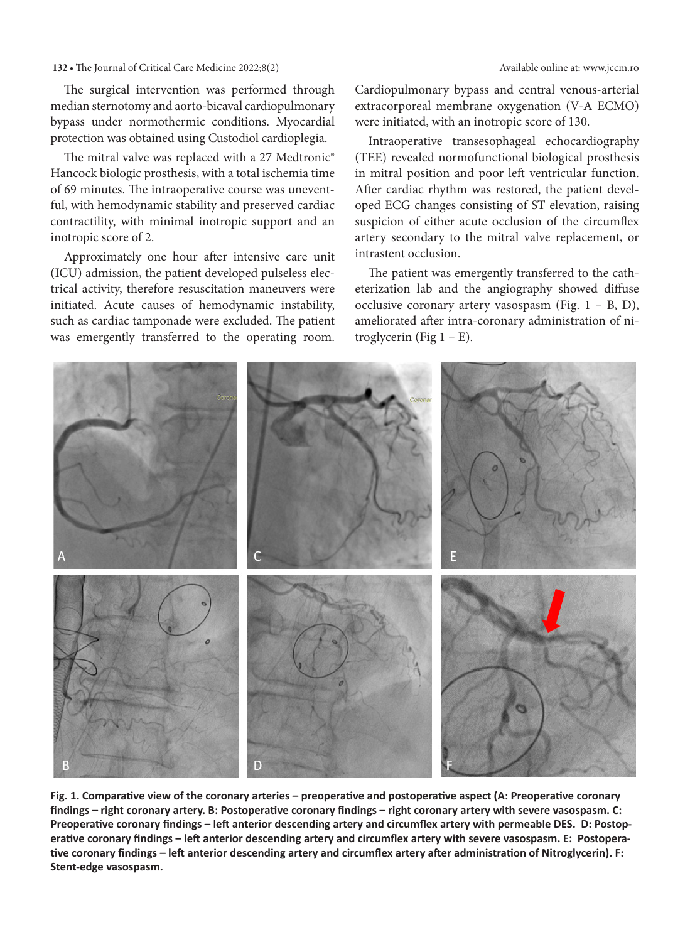#### **132 •** The Journal of Critical Care Medicine 2022;8(2) Available online at: www.jccm.ro

The surgical intervention was performed through [median sternotomy](https://www.sciencedirect.com/topics/medicine-and-dentistry/median-sternotomy) and aorto-bicaval [cardiopulmonary](https://www.sciencedirect.com/topics/medicine-and-dentistry/cardiopulmonary-bypass) [bypass](https://www.sciencedirect.com/topics/medicine-and-dentistry/cardiopulmonary-bypass) under normothermic conditions. Myocardial protection was obtained using Custodiol cardioplegia.

The mitral valve was replaced with a 27 Medtronic® Hancock biologic prosthesis, with a total ischemia time of 69 minutes. The intraoperative course was uneventful, with hemodynamic stability and preserved cardiac contractility, with minimal inotropic support and an inotropic score of 2.

Approximately one hour after intensive care unit (ICU) admission, the patient developed pulseless electrical activity, therefore resuscitation maneuvers were initiated. Acute causes of hemodynamic instability, such as cardiac tamponade were excluded. The patient was emergently transferred to the operating room. Cardiopulmonary bypass and central venous-arterial extracorporeal membrane oxygenation (V-A ECMO) were initiated, with an inotropic score of 130.

Intraoperative transesophageal echocardiography (TEE) revealed normofunctional biological prosthesis in mitral position and poor left ventricular function. After cardiac rhythm was restored, the patient developed ECG changes consisting of ST elevation, raising suspicion of either acute occlusion of the circumflex artery secondary to the mitral valve replacement, or intrastent occlusion.

The patient was emergently transferred to the catheterization lab and the angiography showed diffuse occlusive coronary artery vasospasm (Fig. 1 – B, D), ameliorated after intra-coronary administration of nitroglycerin (Fig  $1 - E$ ).

**Fig. 1. Comparative view of the coronary arteries – preoperative and postoperative aspect (A: Preoperative coronary findings – right coronary artery. B: Postoperative coronary findings – right coronary artery with severe vasospasm. C: Preoperative coronary findings – left anterior descending artery and circumflex artery with permeable DES. D: Postoperative coronary findings – left anterior descending artery and circumflex artery with severe vasospasm. E: Postoperative coronary findings – left anterior descending artery and circumflex artery after administration of Nitroglycerin). F: Stent-edge vasospasm.** 

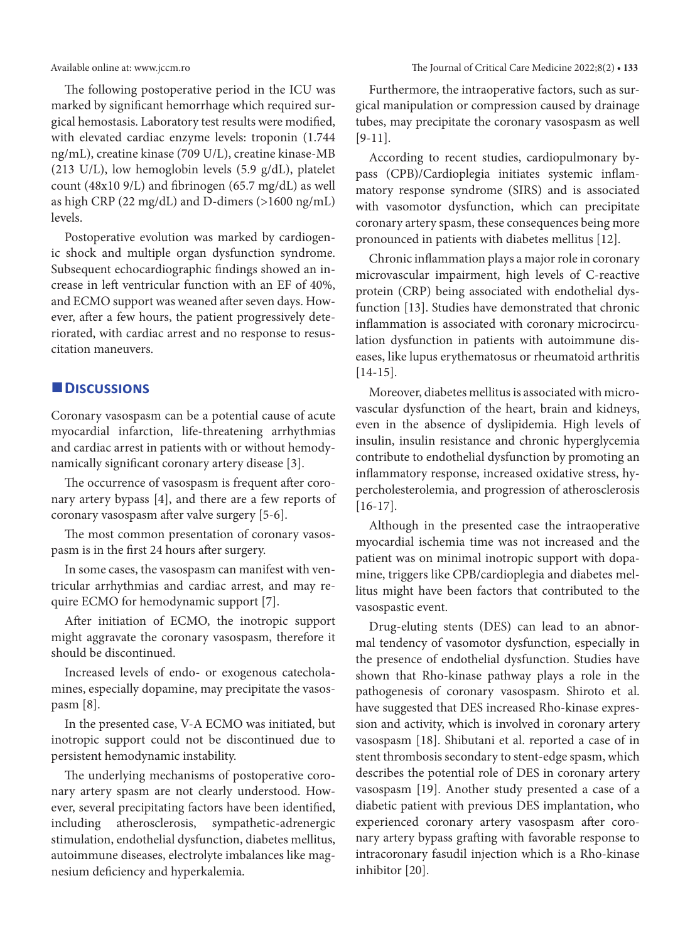The following postoperative period in the ICU was marked by significant hemorrhage which required surgical hemostasis. Laboratory test results were modified, with elevated cardiac enzyme levels: troponin (1.744 ng/mL), creatine kinase (709 U/L), creatine kinase-MB (213 U/L), low hemoglobin levels (5.9 g/dL), platelet count (48x10 9/L) and fibrinogen (65.7 mg/dL) as well as high CRP (22 mg/dL) and D-dimers (>1600 ng/mL) levels.

Postoperative evolution was marked by cardiogenic shock and multiple organ dysfunction syndrome. Subsequent echocardiographic findings showed an increase in left ventricular function with an EF of 40%, and ECMO support was weaned after seven days. However, after a few hours, the patient progressively deteriorated, with cardiac arrest and no response to resuscitation maneuvers.

## **Discussions**

Coronary vasospasm can be a potential cause of acute myocardial infarction, life-threatening arrhythmias and cardiac arrest in patients with or without hemodynamically significant coronary artery disease [3].

The occurrence of vasospasm is frequent after coronary artery bypass [4], and there are a few reports of coronary vasospasm after valve surgery [5-6].

The most common presentation of coronary vasospasm is in the first 24 hours after surgery.

In some cases, the vasospasm can manifest with ventricular arrhythmias and cardiac arrest, and may require ECMO for hemodynamic support [7].

After initiation of ECMO, the inotropic support might aggravate the coronary vasospasm, therefore it should be discontinued.

Increased levels of endo- or exogenous catecholamines, especially dopamine, may precipitate the vasospasm [8].

In the presented case, V-A ECMO was initiated, but inotropic support could not be discontinued due to persistent hemodynamic instability.

The underlying mechanisms of postoperative coronary artery spasm are not clearly understood. However, several precipitating factors have been identified, including atherosclerosis, sympathetic-adrenergic stimulation, endothelial dysfunction, diabetes mellitus, autoimmune diseases, electrolyte imbalances like magnesium deficiency and hyperkalemia.

Furthermore, the intraoperative factors, such as surgical manipulation or compression caused by drainage tubes, may precipitate the coronary vasospasm as well [9-11].

According to recent studies, cardiopulmonary bypass (CPB)/Cardioplegia initiates systemic inflammatory response syndrome (SIRS) and is associated with vasomotor dysfunction, which can precipitate coronary artery spasm, these consequences being more pronounced in patients with diabetes mellitus [12].

Chronic inflammation plays a major role in coronary microvascular impairment, high levels of C-reactive protein (CRP) being associated with endothelial dysfunction [13]. Studies have demonstrated that chronic inflammation is associated with coronary microcirculation dysfunction in patients with autoimmune diseases, like lupus erythematosus or rheumatoid arthritis [14-15].

Moreover, diabetes mellitus is associated with microvascular dysfunction of the heart, brain and kidneys, even in the absence of dyslipidemia. High levels of insulin, insulin resistance and chronic hyperglycemia contribute to endothelial dysfunction by promoting an inflammatory response, increased oxidative stress, hypercholesterolemia, and progression of atherosclerosis [16-17].

Although in the presented case the intraoperative myocardial ischemia time was not increased and the patient was on minimal inotropic support with dopamine, triggers like CPB/cardioplegia and diabetes mellitus might have been factors that contributed to the vasospastic event.

Drug-eluting stents (DES) can lead to an abnormal tendency of vasomotor dysfunction, especially in the presence of endothelial dysfunction. Studies have shown that Rho-kinase pathway plays a role in the pathogenesis of coronary vasospasm. Shiroto et al. have suggested that DES increased Rho-kinase expression and activity, which is involved in coronary artery vasospasm [18]. Shibutani et al. reported a case of in stent thrombosis secondary to stent-edge spasm, which describes the potential role of DES in coronary artery vasospasm [19]. Another study presented a case of a diabetic patient with previous DES implantation, who experienced coronary artery vasospasm after coronary artery bypass grafting with favorable response to intracoronary fasudil injection which is a Rho-kinase inhibitor [20].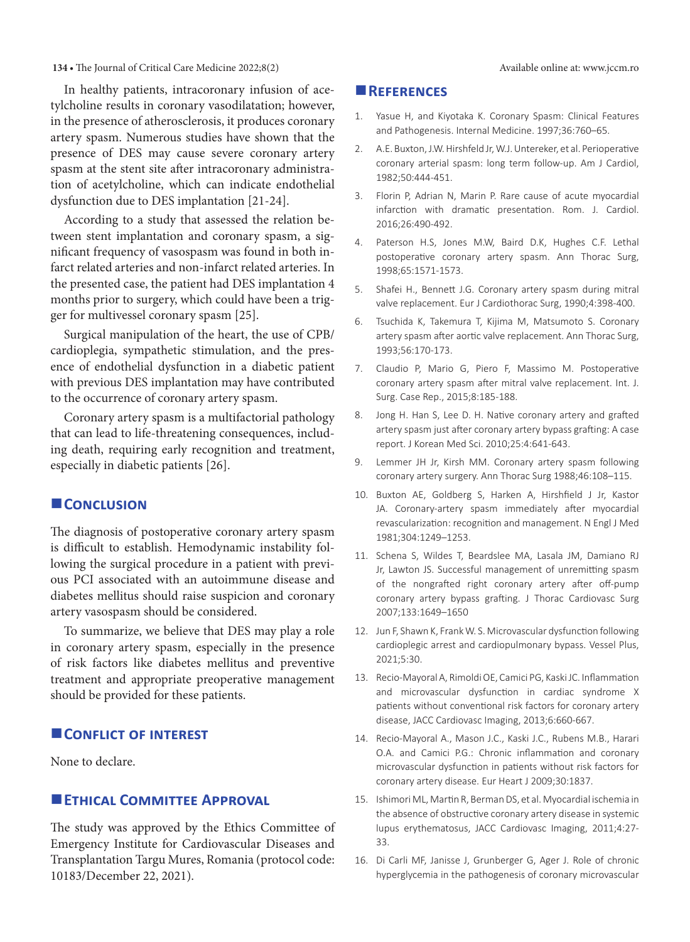#### **134 • The Journal of Critical Care Medicine 2022;8(2)** Available online at: www.jccm.ro

In healthy patients, intracoronary infusion of acetylcholine results in coronary vasodilatation; however, in the presence of atherosclerosis, it produces coronary artery spasm. Numerous studies have shown that the presence of DES may cause severe coronary artery spasm at the stent site after intracoronary administration of acetylcholine, which can indicate endothelial dysfunction due to DES implantation [21-24].

According to a study that assessed the relation between stent implantation and coronary spasm, a significant frequency of vasospasm was found in both infarct related arteries and non-infarct related arteries. In the presented case, the patient had DES implantation 4 months prior to surgery, which could have been a trigger for multivessel coronary spasm [25].

Surgical manipulation of the heart, the use of CPB/ cardioplegia, sympathetic stimulation, and the presence of endothelial dysfunction in a diabetic patient with previous DES implantation may have contributed to the occurrence of coronary artery spasm.

Coronary artery spasm is a multifactorial pathology that can lead to life-threatening consequences, including death, requiring early recognition and treatment, especially in diabetic patients [26].

## **CONCLUSION**

The diagnosis of postoperative coronary artery spasm is difficult to establish. Hemodynamic instability following the surgical procedure in a patient with previous PCI associated with an autoimmune disease and diabetes mellitus should raise suspicion and coronary artery vasospasm should be considered.

To summarize, we believe that DES may play a role in coronary artery spasm, especially in the presence of risk factors like diabetes mellitus and preventive treatment and appropriate preoperative management should be provided for these patients.

## **CONFLICT OF INTEREST**

None to declare.

## **ETHICAL COMMITTEE APPROVAL**

The study was approved by the Ethics Committee of Emergency Institute for Cardiovascular Diseases and Transplantation Targu Mures, Romania (protocol code: 10183/December 22, 2021).

#### **References**

- 1. Yasue H, and Kiyotaka K. Coronary Spasm: Clinical Features and Pathogenesis. Internal Medicine. 1997;36:760–65.
- 2. A.E. Buxton,J.W.Hirshfeld Jr,W.J.Untereker, et al. Perioperative coronary arterial spasm: long term follow-up. Am J Cardiol, 1982;50:444-451.
- 3. Florin P, Adrian N, Marin P. Rare cause of acute myocardial infarction with dramatic presentation. Rom. J. Cardiol. 2016;26:490-492.
- 4. Paterson H.S, Jones M.W, Baird D.K, Hughes C.F. Lethal postoperative coronary artery spasm. Ann Thorac Surg, 1998;65:1571-1573.
- 5. Shafei H., Bennett J.G. Coronary artery spasm during mitral valve replacement. Eur J Cardiothorac Surg, 1990;4:398-400.
- 6. Tsuchida K, Takemura T, Kijima M, Matsumoto S. Coronary artery spasm after aortic valve replacement. Ann Thorac Surg, 1993;56:170-173.
- 7. Claudio P, Mario G, Piero F, Massimo M. Postoperative coronary artery spasm after mitral valve replacement. Int. J. Surg. Case Rep., 2015;8:185-188.
- 8. Jong H. Han S, Lee D. H. Native coronary artery and grafted artery spasm just after coronary artery bypass grafting: A case report. J Korean Med Sci. 2010;25:4:641-643.
- 9. Lemmer JH Jr, Kirsh MM. Coronary artery spasm following coronary artery surgery. Ann Thorac Surg 1988;46:108–115.
- 10. Buxton AE, Goldberg S, Harken A, Hirshfield J Jr, Kastor JA. Coronary-artery spasm immediately after myocardial revascularization: recognition and management. N Engl J Med 1981;304:1249–1253.
- 11. Schena S, Wildes T, Beardslee MA, Lasala JM, Damiano RJ Jr, Lawton JS. Successful management of unremitting spasm of the nongrafted right coronary artery after off-pump coronary artery bypass grafting. J Thorac Cardiovasc Surg 2007;133:1649–1650
- 12. Jun F, Shawn K, Frank W. S. Microvascular dysfunction following cardioplegic arrest and cardiopulmonary bypass. Vessel Plus, 2021;5:30.
- 13. Recio-Mayoral A, Rimoldi OE, Camici PG, Kaski JC. Inflammation and microvascular dysfunction in cardiac syndrome X patients without conventional risk factors for coronary artery disease, JACC Cardiovasc Imaging, 2013;6:660-667.
- 14. Recio-Mayoral A., Mason J.C., Kaski J.C., Rubens M.B., Harari O.A. and Camici P.G.: Chronic inflammation and coronary microvascular dysfunction in patients without risk factors for coronary artery disease. Eur Heart J 2009;30:1837.
- 15. Ishimori ML, Martin R, Berman DS, et al. Myocardial ischemia in the absence of obstructive coronary artery disease in systemic lupus erythematosus, JACC Cardiovasc Imaging, 2011;4:27- 33.
- 16. Di Carli MF, Janisse J, Grunberger G, Ager J. Role of chronic hyperglycemia in the pathogenesis of coronary microvascular